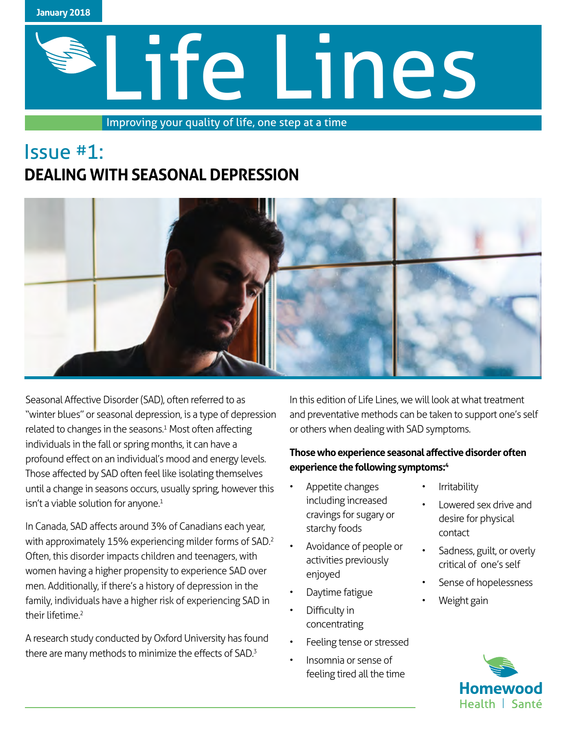

# Life Lines

Improving your quality of life, one step at a time

### Issue #1: **DEALING WITH SEASONAL DEPRESSION**



Seasonal Affective Disorder (SAD), often referred to as "winter blues" or seasonal depression, is a type of depression related to changes in the seasons.<sup>1</sup> Most often affecting individuals in the fall or spring months, it can have a profound effect on an individual's mood and energy levels. Those affected by SAD often feel like isolating themselves until a change in seasons occurs, usually spring, however this isn't a viable solution for anyone.<sup>1</sup>

In Canada, SAD affects around 3% of Canadians each year, with approximately 15% experiencing milder forms of SAD.<sup>2</sup> Often, this disorder impacts children and teenagers, with women having a higher propensity to experience SAD over men. Additionally, if there's a history of depression in the family, individuals have a higher risk of experiencing SAD in their lifetime.<sup>2</sup>

A research study conducted by Oxford University has found there are many methods to minimize the effects of SAD.<sup>3</sup>

In this edition of Life Lines, we will look at what treatment and preventative methods can be taken to support one's self or others when dealing with SAD symptoms.

#### **Those who experience seasonal affective disorder often experience the following symptoms:<sup>4</sup>**

- Appetite changes including increased cravings for sugary or starchy foods
- Avoidance of people or activities previously enjoyed
- Daytime fatigue
- Difficulty in concentrating
- Feeling tense or stressed
	- Insomnia or sense of feeling tired all the time
- **Irritability**
- Lowered sex drive and desire for physical contact
- Sadness, guilt, or overly critical of one's self
- Sense of hopelessness
- Weight gain

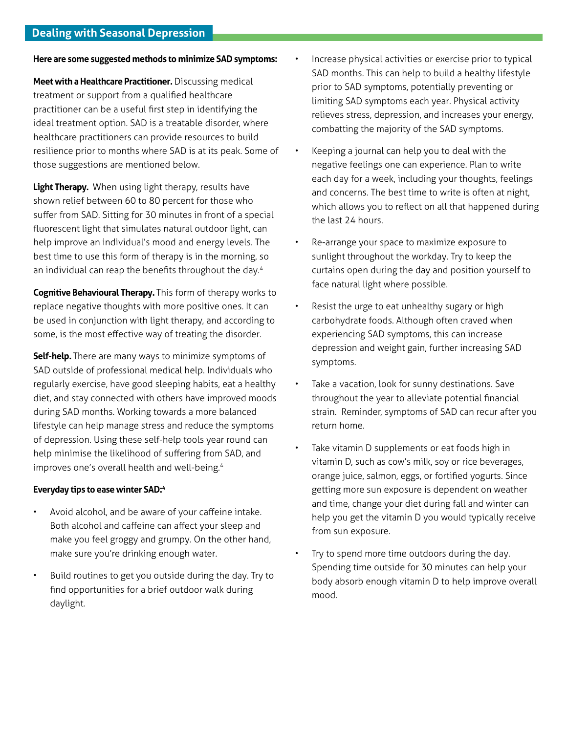**Here are some suggested methods to minimize SAD symptoms:** 

**Meet with a Healthcare Practitioner.** Discussing medical treatment or support from a qualified healthcare practitioner can be a useful first step in identifying the ideal treatment option. SAD is a treatable disorder, where healthcare practitioners can provide resources to build resilience prior to months where SAD is at its peak. Some of those suggestions are mentioned below.

**Light Therapy.** When using light therapy, results have shown relief between 60 to 80 percent for those who suffer from SAD. Sitting for 30 minutes in front of a special fluorescent light that simulates natural outdoor light, can help improve an individual's mood and energy levels. The best time to use this form of therapy is in the morning, so an individual can reap the benefits throughout the day.<sup>4</sup>

**Cognitive Behavioural Therapy.** This form of therapy works to replace negative thoughts with more positive ones. It can be used in conjunction with light therapy, and according to some, is the most effective way of treating the disorder.

**Self-help.** There are many ways to minimize symptoms of SAD outside of professional medical help. Individuals who regularly exercise, have good sleeping habits, eat a healthy diet, and stay connected with others have improved moods during SAD months. Working towards a more balanced lifestyle can help manage stress and reduce the symptoms of depression. Using these self-help tools year round can help minimise the likelihood of suffering from SAD, and improves one's overall health and well-being.<sup>4</sup>

#### **Everyday tips to ease winter SAD:4**

- Avoid alcohol, and be aware of your caffeine intake. Both alcohol and caffeine can affect your sleep and make you feel groggy and grumpy. On the other hand, make sure you're drinking enough water.
- Build routines to get you outside during the day. Try to find opportunities for a brief outdoor walk during daylight.
- Increase physical activities or exercise prior to typical SAD months. This can help to build a healthy lifestyle prior to SAD symptoms, potentially preventing or limiting SAD symptoms each year. Physical activity relieves stress, depression, and increases your energy, combatting the majority of the SAD symptoms.
- Keeping a journal can help you to deal with the negative feelings one can experience. Plan to write each day for a week, including your thoughts, feelings and concerns. The best time to write is often at night, which allows you to reflect on all that happened during the last 24 hours.
- Re-arrange your space to maximize exposure to sunlight throughout the workday. Try to keep the curtains open during the day and position yourself to face natural light where possible.
- Resist the urge to eat unhealthy sugary or high carbohydrate foods. Although often craved when experiencing SAD symptoms, this can increase depression and weight gain, further increasing SAD symptoms.
- Take a vacation, look for sunny destinations. Save throughout the year to alleviate potential financial strain. Reminder, symptoms of SAD can recur after you return home.
- Take vitamin D supplements or eat foods high in vitamin D, such as cow's milk, soy or rice beverages, orange juice, salmon, eggs, or fortified yogurts. Since getting more sun exposure is dependent on weather and time, change your diet during fall and winter can help you get the vitamin D you would typically receive from sun exposure.
- Try to spend more time outdoors during the day. Spending time outside for 30 minutes can help your body absorb enough vitamin D to help improve overall mood.